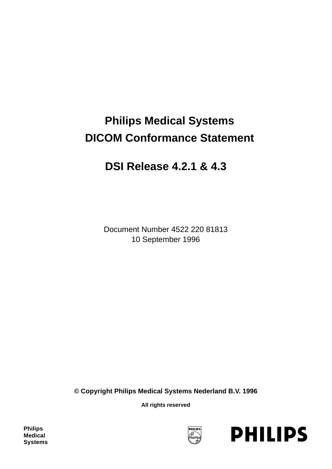# **Philips Medical Systems DICOM Conformance Statement**

# **DSI Release 4.2.1 & 4.3**

Document Number 4522 220 81813 10 September 1996

**© Copyright Philips Medical Systems Nederland B.V. 1996**

**All rights reserved**

**Philips Medical Systems**



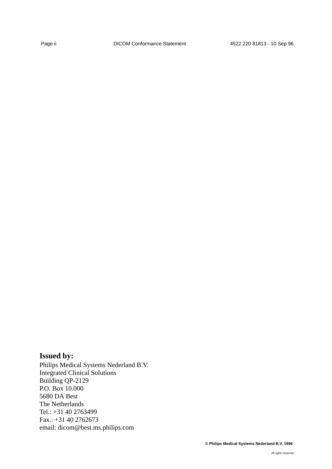# **Issued by:**

Philips Medical Systems Nederland B.V. Integrated Clinical Solutions Building QP-2129 P.O. Box 10.000 5680 DA Best The Netherlands Tel.: +31 40 2763499 Fax.: +31 40 2762673 email: dicom@best.ms.philips.com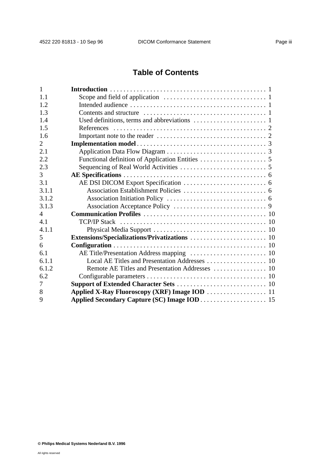# **Table of Contents**

| 1     |  |
|-------|--|
| 1.1   |  |
| 1.2   |  |
| 1.3   |  |
| 1.4   |  |
| 1.5   |  |
| 1.6   |  |
| 2     |  |
| 2.1   |  |
| 2.2   |  |
| 2.3   |  |
| 3     |  |
| 3.1   |  |
| 3.1.1 |  |
| 3.1.2 |  |
| 3.1.3 |  |
| 4     |  |
| 4.1   |  |
| 4.1.1 |  |
| 5     |  |
| 6     |  |
| 6.1   |  |
| 6.1.1 |  |
| 6.1.2 |  |
| 6.2   |  |
| 7     |  |
| 8     |  |
| 9     |  |
|       |  |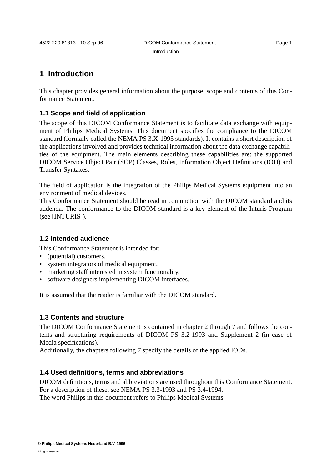# **1 Introduction**

This chapter provides general information about the purpose, scope and contents of this Conformance Statement.

## **1.1 Scope and field of application**

The scope of this DICOM Conformance Statement is to facilitate data exchange with equipment of Philips Medical Systems. This document specifies the compliance to the DICOM standard (formally called the NEMA PS 3.X-1993 standards). It contains a short description of the applications involved and provides technical information about the data exchange capabilities of the equipment. The main elements describing these capabilities are: the supported DICOM Service Object Pair (SOP) Classes, Roles, Information Object Definitions (IOD) and Transfer Syntaxes.

The field of application is the integration of the Philips Medical Systems equipment into an environment of medical devices.

This Conformance Statement should be read in conjunction with the DICOM standard and its addenda. The conformance to the DICOM standard is a key element of the Inturis Program (see [INTURIS]).

## **1.2 Intended audience**

This Conformance Statement is intended for:

- (potential) customers.
- system integrators of medical equipment,
- marketing staff interested in system functionality,
- software designers implementing DICOM interfaces.

It is assumed that the reader is familiar with the DICOM standard.

#### **1.3 Contents and structure**

The DICOM Conformance Statement is contained in chapter 2 through 7 and follows the contents and structuring requirements of DICOM PS 3.2-1993 and Supplement 2 (in case of Media specifications).

Additionally, the chapters following 7 specify the details of the applied IODs.

#### **1.4 Used definitions, terms and abbreviations**

DICOM definitions, terms and abbreviations are used throughout this Conformance Statement. For a description of these, see NEMA PS 3.3-1993 and PS 3.4-1994.

The word Philips in this document refers to Philips Medical Systems.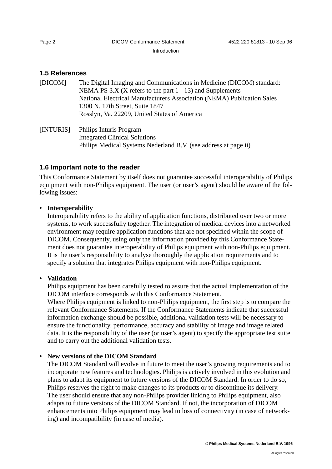Introduction

# **1.5 References**

| [DICOM] | The Digital Imaging and Communications in Medicine (DICOM) standard:   |
|---------|------------------------------------------------------------------------|
|         | NEMA PS $3.X$ (X refers to the part 1 - 13) and Supplements            |
|         | National Electrical Manufacturers Association (NEMA) Publication Sales |
|         | 1300 N. 17th Street, Suite 1847                                        |
|         | Rosslyn, Va. 22209, United States of America                           |
|         |                                                                        |

[INTURIS] Philips Inturis Program Integrated Clinical Solutions Philips Medical Systems Nederland B.V. (see address at page ii)

# **1.6 Important note to the reader**

This Conformance Statement by itself does not guarantee successful interoperability of Philips equipment with non-Philips equipment. The user (or user's agent) should be aware of the following issues:

## **• Interoperability**

Interoperability refers to the ability of application functions, distributed over two or more systems, to work successfully together. The integration of medical devices into a networked environment may require application functions that are not specified within the scope of DICOM. Consequently, using only the information provided by this Conformance Statement does not guarantee interoperability of Philips equipment with non-Philips equipment. It is the user's responsibility to analyse thoroughly the application requirements and to specify a solution that integrates Philips equipment with non-Philips equipment.

## **• Validation**

Philips equipment has been carefully tested to assure that the actual implementation of the DICOM interface corresponds with this Conformance Statement.

Where Philips equipment is linked to non-Philips equipment, the first step is to compare the relevant Conformance Statements. If the Conformance Statements indicate that successful information exchange should be possible, additional validation tests will be necessary to ensure the functionality, performance, accuracy and stability of image and image related data. It is the responsibility of the user (or user's agent) to specify the appropriate test suite and to carry out the additional validation tests.

# **• New versions of the DICOM Standard**

The DICOM Standard will evolve in future to meet the user's growing requirements and to incorporate new features and technologies. Philips is actively involved in this evolution and plans to adapt its equipment to future versions of the DICOM Standard. In order to do so, Philips reserves the right to make changes to its products or to discontinue its delivery. The user should ensure that any non-Philips provider linking to Philips equipment, also adapts to future versions of the DICOM Standard. If not, the incorporation of DICOM enhancements into Philips equipment may lead to loss of connectivity (in case of networking) and incompatibility (in case of media).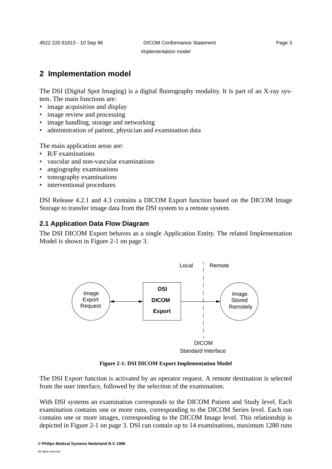# **2 Implementation model**

The DSI (Digital Spot Imaging) is a digital fluorography modality. It is part of an X-ray system. The main functions are:

- image acquisition and display
- image review and processing
- image handling, storage and networking
- administration of patient, physician and examination data

The main application areas are:

- R/F examinations
- vascular and non-vascular examinations
- angiography examinations
- tomography examinations
- interventional procedures

DSI Release 4.2.1 and 4.3 contains a DICOM Export function based on the DICOM Image Storage to transfer image data from the DSI system to a remote system.

#### **2.1 Application Data Flow Diagram**

The DSI DICOM Export behaves as a single Application Entity. The related Implementation Model is shown in Figure 2-1 on page 3.



**Figure 2-1: DSI DICOM Export Implementation Model**

The DSI Export function is activated by an operator request. A remote destination is selected from the user interface, followed by the selection of the examination.

With DSI systems an examination corresponds to the DICOM Patient and Study level. Each examination contains one or more runs, corresponding to the DICOM Series level. Each run contains one or more images, corresponding to the DICOM Image level. This relationship is depicted in Figure 2-1 on page 3. DSI can contain up to 14 examinations, maximum 1280 runs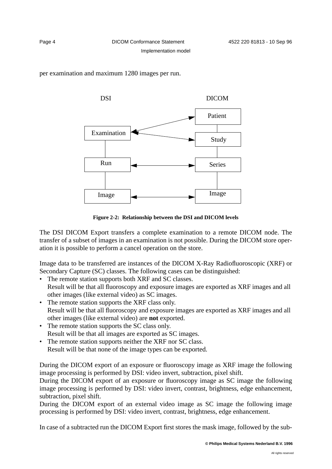per examination and maximum 1280 images per run.



**Figure 2-2: Relationship between the DSI and DICOM levels**

The DSI DICOM Export transfers a complete examination to a remote DICOM node. The transfer of a subset of images in an examination is not possible. During the DICOM store operation it is possible to perform a cancel operation on the store.

Image data to be transferred are instances of the DICOM X-Ray Radiofluoroscopic (XRF) or Secondary Capture (SC) classes. The following cases can be distinguished:

- The remote station supports both XRF and SC classes. Result will be that all fluoroscopy and exposure images are exported as XRF images and all other images (like external video) as SC images.
- The remote station supports the XRF class only. Result will be that all fluoroscopy and exposure images are exported as XRF images and all other images (like external video) are **not** exported.
- The remote station supports the SC class only. Result will be that all images are exported as SC images.
- The remote station supports neither the XRF nor SC class. Result will be that none of the image types can be exported.

During the DICOM export of an exposure or fluoroscopy image as XRF image the following image processing is performed by DSI: video invert, subtraction, pixel shift.

During the DICOM export of an exposure or fluoroscopy image as SC image the following image processing is performed by DSI: video invert, contrast, brightness, edge enhancement, subtraction, pixel shift.

During the DICOM export of an external video image as SC image the following image processing is performed by DSI: video invert, contrast, brightness, edge enhancement.

In case of a subtracted run the DICOM Export first stores the mask image, followed by the sub-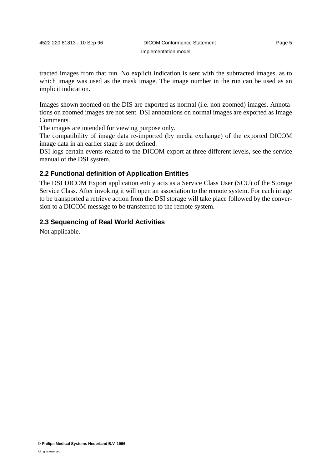tracted images from that run. No explicit indication is sent with the subtracted images, as to which image was used as the mask image. The image number in the run can be used as an implicit indication.

Images shown zoomed on the DIS are exported as normal (i.e. non zoomed) images. Annotations on zoomed images are not sent. DSI annotations on normal images are exported as Image Comments.

The images are intended for viewing purpose only.

The compatibility of image data re-imported (by media exchange) of the exported DICOM image data in an earlier stage is not defined.

DSI logs certain events related to the DICOM export at three different levels, see the service manual of the DSI system.

# **2.2 Functional definition of Application Entities**

The DSI DICOM Export application entity acts as a Service Class User (SCU) of the Storage Service Class. After invoking it will open an association to the remote system. For each image to be transported a retrieve action from the DSI storage will take place followed by the conversion to a DICOM message to be transferred to the remote system.

## **2.3 Sequencing of Real World Activities**

Not applicable.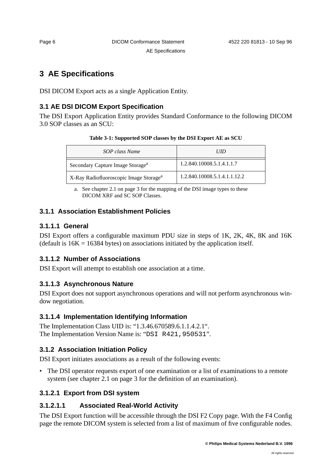AE Specifications

# **3 AE Specifications**

DSI DICOM Export acts as a single Application Entity.

# **3.1 AE DSI DICOM Export Specification**

The DSI Export Application Entity provides Standard Conformance to the following DICOM 3.0 SOP classes as an SCU:

| Table 3-1: Supported SOP classes by the DSI Export AE as SCU |  |  |
|--------------------------------------------------------------|--|--|
|--------------------------------------------------------------|--|--|

| SOP class Name                                     | <b>UID</b>                   |  |
|----------------------------------------------------|------------------------------|--|
| Secondary Capture Image Storage <sup>a</sup>       | 1.2.840.10008.5.1.4.1.1.7    |  |
| X-Ray Radiofluoroscopic Image Storage <sup>a</sup> | 1.2.840.10008.5.1.4.1.1.12.2 |  |

a. See chapter 2.1 on page 3 for the mapping of the DSI image types to these DICOM XRF and SC SOP Classes.

# **3.1.1 Association Establishment Policies**

# **3.1.1.1 General**

DSI Export offers a configurable maximum PDU size in steps of 1K, 2K, 4K, 8K and 16K (default is  $16K = 16384$  bytes) on associations initiated by the application itself.

# **3.1.1.2 Number of Associations**

DSI Export will attempt to establish one association at a time.

# **3.1.1.3 Asynchronous Nature**

DSI Export does not support asynchronous operations and will not perform asynchronous window negotiation.

# **3.1.1.4 Implementation Identifying Information**

The Implementation Class UID is: "1.3.46.670589.6.1.1.4.2.1". The Implementation Version Name is: "DSI R421, 950531".

# **3.1.2 Association Initiation Policy**

DSI Export initiates associations as a result of the following events:

• The DSI operator requests export of one examination or a list of examinations to a remote system (see chapter 2.1 on page 3 for the definition of an examination).

# **3.1.2.1 Export from DSI system**

# **3.1.2.1.1 Associated Real-World Activity**

The DSI Export function will be accessible through the DSI F2 Copy page. With the F4 Config page the remote DICOM system is selected from a list of maximum of five configurable nodes.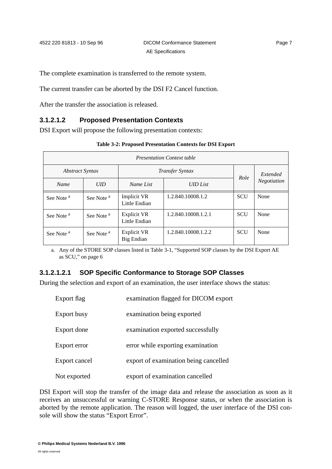The complete examination is transferred to the remote system.

The current transfer can be aborted by the DSI F2 Cancel function.

After the transfer the association is released.

# **3.1.2.1.2 Proposed Presentation Contexts**

DSI Export will propose the following presentation contexts:

| Table 3-2: Proposed Presentation Contexts for DSI Export |  |  |  |
|----------------------------------------------------------|--|--|--|
|----------------------------------------------------------|--|--|--|

| <b>Presentation Context table</b> |                       |                                     |                     |            |             |  |
|-----------------------------------|-----------------------|-------------------------------------|---------------------|------------|-------------|--|
| <b>Abstract Syntax</b>            |                       | <i>Transfer Syntax</i>              |                     | Role       | Extended    |  |
| <b>Name</b>                       | UID                   | Name List                           | <b>UID</b> List     |            | Negotiation |  |
| See Note <sup>a</sup>             | See Note <sup>a</sup> | Implicit VR<br>Little Endian        | 1.2.840.10008.1.2   | <b>SCU</b> | None        |  |
| See Note <sup>a</sup>             | See Note <sup>a</sup> | <b>Explicit VR</b><br>Little Endian | 1.2.840.10008.1.2.1 | <b>SCU</b> | None        |  |
| See Note <sup>a</sup>             | See Note <sup>a</sup> | <b>Explicit VR</b><br>Big Endian    | 1.2.840.10008.1.2.2 | <b>SCU</b> | None        |  |

a. Any of the STORE SOP classes listed in Table 3-1, "Supported SOP classes by the DSI Export AE as SCU," on page 6

#### **3.1.2.1.2.1 SOP Specific Conformance to Storage SOP Classes**

During the selection and export of an examination, the user interface shows the status:

| Export flag   | examination flagged for DICOM export  |
|---------------|---------------------------------------|
| Export busy   | examination being exported            |
| Export done   | examination exported successfully     |
| Export error  | error while exporting examination     |
| Export cancel | export of examination being cancelled |
| Not exported  | export of examination cancelled       |

DSI Export will stop the transfer of the image data and release the association as soon as it receives an unsuccessful or warning C-STORE Response status, or when the association is aborted by the remote application. The reason will logged, the user interface of the DSI console will show the status "Export Error".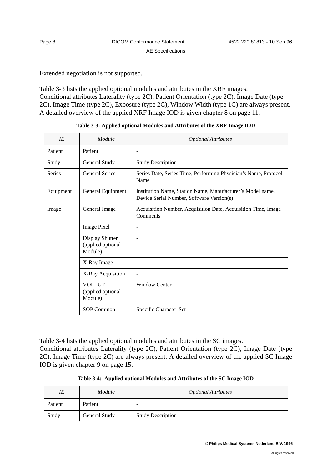Extended negotiation is not supported.

Table 3-3 lists the applied optional modules and attributes in the XRF images. Conditional attributes Laterality (type 2C), Patient Orientation (type 2C), Image Date (type 2C), Image Time (type 2C), Exposure (type 2C), Window Width (type 1C) are always present. A detailed overview of the applied XRF Image IOD is given chapter 8 on page 11.

| IE            | Module                                                 | <b>Optional Attributes</b>                                                                              |
|---------------|--------------------------------------------------------|---------------------------------------------------------------------------------------------------------|
| Patient       | Patient                                                | $\overline{a}$                                                                                          |
| Study         | General Study                                          | <b>Study Description</b>                                                                                |
| <b>Series</b> | <b>General Series</b>                                  | Series Date, Series Time, Performing Physician's Name, Protocol<br>Name                                 |
| Equipment     | General Equipment                                      | Institution Name, Station Name, Manufacturer's Model name,<br>Device Serial Number, Software Version(s) |
| Image         | General Image                                          | Acquisition Number, Acquisition Date, Acquisition Time, Image<br>Comments                               |
|               | <b>Image Pixel</b>                                     | $\overline{\phantom{a}}$                                                                                |
|               | <b>Display Shutter</b><br>(applied optional<br>Module) |                                                                                                         |
|               | X-Ray Image                                            | $\overline{\phantom{a}}$                                                                                |
|               | X-Ray Acquisition                                      | $\sim$                                                                                                  |
|               | <b>VOI LUT</b><br>(applied optional<br>Module)         | <b>Window Center</b>                                                                                    |
|               | SOP Common                                             | Specific Character Set                                                                                  |

Table 3-4 lists the applied optional modules and attributes in the SC images. Conditional attributes Laterality (type 2C), Patient Orientation (type 2C), Image Date (type 2C), Image Time (type 2C) are always present. A detailed overview of the applied SC Image IOD is given chapter 9 on page 15.

| IE      | Module        | <b>Optional Attributes</b> |
|---------|---------------|----------------------------|
| Patient | Patient       | -                          |
| Study   | General Study | <b>Study Description</b>   |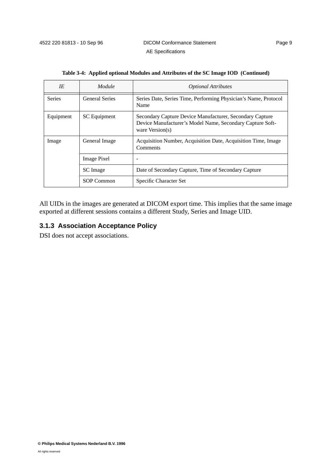| IE            | Module                | <b>Optional Attributes</b>                                                                                                                 |  |
|---------------|-----------------------|--------------------------------------------------------------------------------------------------------------------------------------------|--|
| <b>Series</b> | <b>General Series</b> | Series Date, Series Time, Performing Physician's Name, Protocol<br>Name                                                                    |  |
| Equipment     | SC Equipment          | Secondary Capture Device Manufacturer, Secondary Capture<br>Device Manufacturer's Model Name, Secondary Capture Soft-<br>ware $Version(s)$ |  |
| Image         | General Image         | Acquisition Number, Acquisition Date, Acquisition Time, Image<br>Comments                                                                  |  |
|               | Image Pixel           | $\overline{\phantom{0}}$                                                                                                                   |  |
|               | SC Image              | Date of Secondary Capture, Time of Secondary Capture                                                                                       |  |
|               | SOP Common            | Specific Character Set                                                                                                                     |  |

| Table 3-4: Applied optional Modules and Attributes of the SC Image IOD (Continued) |  |
|------------------------------------------------------------------------------------|--|
|------------------------------------------------------------------------------------|--|

All UIDs in the images are generated at DICOM export time. This implies that the same image exported at different sessions contains a different Study, Series and Image UID.

# **3.1.3 Association Acceptance Policy**

DSI does not accept associations.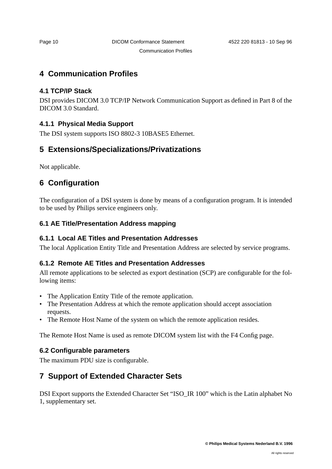# **4 Communication Profiles**

# **4.1 TCP/IP Stack**

DSI provides DICOM 3.0 TCP/IP Network Communication Support as defined in Part 8 of the DICOM 3.0 Standard.

# **4.1.1 Physical Media Support**

The DSI system supports ISO 8802-3 10BASE5 Ethernet.

# **5 Extensions/Specializations/Privatizations**

Not applicable.

# **6 Configuration**

The configuration of a DSI system is done by means of a configuration program. It is intended to be used by Philips service engineers only.

# **6.1 AE Title/Presentation Address mapping**

# **6.1.1 Local AE Titles and Presentation Addresses**

The local Application Entity Title and Presentation Address are selected by service programs.

# **6.1.2 Remote AE Titles and Presentation Addresses**

All remote applications to be selected as export destination (SCP) are configurable for the following items:

- The Application Entity Title of the remote application.
- The Presentation Address at which the remote application should accept association requests.
- The Remote Host Name of the system on which the remote application resides.

The Remote Host Name is used as remote DICOM system list with the F4 Config page.

# **6.2 Configurable parameters**

The maximum PDU size is configurable.

# **7 Support of Extended Character Sets**

DSI Export supports the Extended Character Set "ISO\_IR 100" which is the Latin alphabet No 1, supplementary set.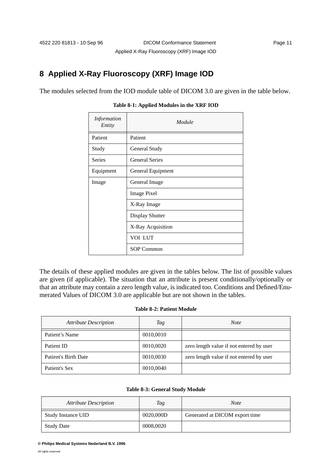# **8 Applied X-Ray Fluoroscopy (XRF) Image IOD**

The modules selected from the IOD module table of DICOM 3.0 are given in the table below.

| Information<br>Entity | Module                 |
|-----------------------|------------------------|
| Patient               | Patient                |
| Study                 | General Study          |
| <b>Series</b>         | <b>General Series</b>  |
| Equipment             | General Equipment      |
| Image                 | General Image          |
|                       | <b>Image Pixel</b>     |
|                       | X-Ray Image            |
|                       | <b>Display Shutter</b> |
|                       | X-Ray Acquisition      |
|                       | VOI LUT                |
|                       | <b>SOP Common</b>      |

#### **Table 8-1: Applied Modules in the XRF IOD**

The details of these applied modules are given in the tables below. The list of possible values are given (if applicable). The situation that an attribute is present conditionally/optionally or that an attribute may contain a zero length value, is indicated too. Conditions and Defined/Enumerated Values of DICOM 3.0 are applicable but are not shown in the tables.

#### **Table 8-2: Patient Module**

| <b>Attribute Description</b> | Tag       | <b>Note</b>                              |
|------------------------------|-----------|------------------------------------------|
| Patient's Name               | 0010,0010 |                                          |
| Patient ID                   | 0010,0020 | zero length value if not entered by user |
| Patient's Birth Date         | 0010,0030 | zero length value if not entered by user |
| Patient's Sex                | 0010,0040 |                                          |

#### **Table 8-3: General Study Module**

| <b>Attribute Description</b> | Tag       | <i>Note</i>                    |
|------------------------------|-----------|--------------------------------|
| <b>Study Instance UID</b>    | 0020,000D | Generated at DICOM export time |
| <b>Study Date</b>            | 0008,0020 |                                |

**<sup>©</sup> Philips Medical Systems Nederland B.V. 1996**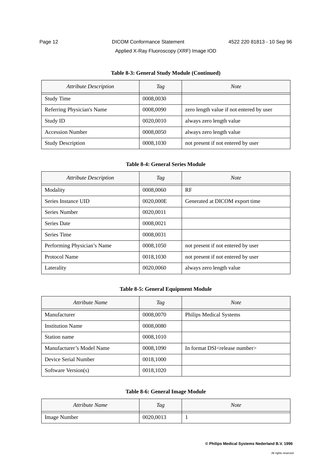#### **Table 8-3: General Study Module (Continued)**

| <b>Attribute Description</b> | Tag       | <b>Note</b>                              |
|------------------------------|-----------|------------------------------------------|
| <b>Study Time</b>            | 0008,0030 |                                          |
| Referring Physician's Name   | 0008,0090 | zero length value if not entered by user |
| Study ID                     | 0020,0010 | always zero length value                 |
| <b>Accession Number</b>      | 0008,0050 | always zero length value                 |
| <b>Study Description</b>     | 0008,1030 | not present if not entered by user       |

#### **Table 8-4: General Series Module**

| <b>Attribute Description</b> | Tag       | <b>Note</b>                        |
|------------------------------|-----------|------------------------------------|
| Modality                     | 0008,0060 | RF                                 |
| Series Instance UID          | 0020,000E | Generated at DICOM export time     |
| Series Number                | 0020,0011 |                                    |
| <b>Series Date</b>           | 0008,0021 |                                    |
| Series Time                  | 0008,0031 |                                    |
| Performing Physician's Name  | 0008,1050 | not present if not entered by user |
| Protocol Name                | 0018,1030 | not present if not entered by user |
| Laterality                   | 0020,0060 | always zero length value           |

#### **Table 8-5: General Equipment Module**

| Attribute Name            | Tag       | <b>Note</b>                                 |
|---------------------------|-----------|---------------------------------------------|
| Manufacturer              | 0008,0070 | Philips Medical Systems                     |
| <b>Institution Name</b>   | 0008,0080 |                                             |
| Station name              | 0008,1010 |                                             |
| Manufacturer's Model Name | 0008,1090 | In format DSI <release number=""></release> |
| Device Serial Number      | 0018,1000 |                                             |
| Software Version(s)       | 0018,1020 |                                             |

#### **Table 8-6: General Image Module**

| Attribute Name      | Tag       | <b>Note</b> |
|---------------------|-----------|-------------|
| <b>Image Number</b> | 0020,0013 |             |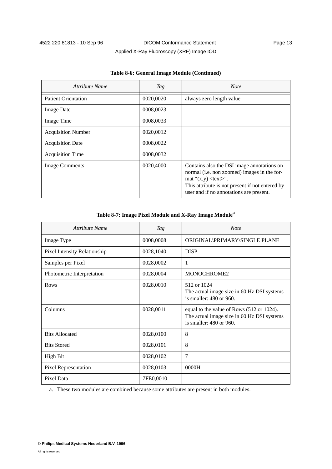|  | Applied X-Ray Fluoroscopy (XRF) Image IOD |
|--|-------------------------------------------|
|  |                                           |

| Attribute Name             | Tag       | <b>Note</b>                                                                                                                                                                                                                |
|----------------------------|-----------|----------------------------------------------------------------------------------------------------------------------------------------------------------------------------------------------------------------------------|
| <b>Patient Orientation</b> | 0020,0020 | always zero length value                                                                                                                                                                                                   |
| <b>Image Date</b>          | 0008,0023 |                                                                                                                                                                                                                            |
| Image Time                 | 0008,0033 |                                                                                                                                                                                                                            |
| <b>Acquisition Number</b>  | 0020,0012 |                                                                                                                                                                                                                            |
| <b>Acquisition Date</b>    | 0008,0022 |                                                                                                                                                                                                                            |
| <b>Acquisition Time</b>    | 0008,0032 |                                                                                                                                                                                                                            |
| <b>Image Comments</b>      | 0020,4000 | Contains also the DSI image annotations on<br>normal (i.e. non zoomed) images in the for-<br>mat " $(x,y)$ <text>".<br/>This attribute is not present if not entered by<br/>user and if no annotations are present.</text> |

#### **Table 8-6: General Image Module (Continued)**

#### **Table 8-7: Image Pixel Module and X-Ray Image Modulea**

| Attribute Name               | <b>Tag</b> | <b>Note</b>                                                                                                        |
|------------------------------|------------|--------------------------------------------------------------------------------------------------------------------|
| Image Type                   | 0008,0008  | ORIGINAL\PRIMARY\SINGLE PLANE                                                                                      |
| Pixel Intensity Relationship | 0028,1040  | <b>DISP</b>                                                                                                        |
| Samples per Pixel            | 0028,0002  | 1                                                                                                                  |
| Photometric Interpretation   | 0028,0004  | MONOCHROME2                                                                                                        |
| Rows                         | 0028,0010  | 512 or 1024<br>The actual image size in 60 Hz DSI systems<br>is smaller: 480 or 960.                               |
| Columns                      | 0028,0011  | equal to the value of Rows (512 or 1024).<br>The actual image size in 60 Hz DSI systems<br>is smaller: 480 or 960. |
| <b>Bits Allocated</b>        | 0028,0100  | 8                                                                                                                  |
| <b>Bits Stored</b>           | 0028,0101  | 8                                                                                                                  |
| <b>High Bit</b>              | 0028,0102  | $\overline{7}$                                                                                                     |
| Pixel Representation         | 0028,0103  | 0000H                                                                                                              |
| Pixel Data                   | 7FE0,0010  |                                                                                                                    |

a. These two modules are combined because some attributes are present in both modules.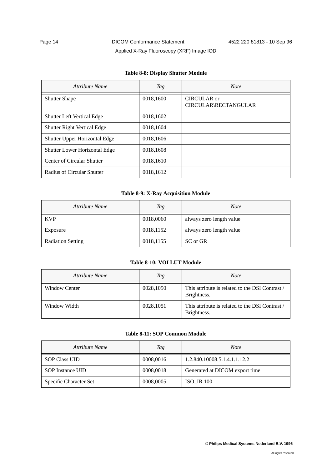# Page 14 **DICOM Conformance Statement** 4522 220 81813 - 10 Sep 96 Applied X-Ray Fluoroscopy (XRF) Image IOD

| Attribute Name                       | Tag       | <b>Note</b>                                |
|--------------------------------------|-----------|--------------------------------------------|
| <b>Shutter Shape</b>                 | 0018,1600 | <b>CIRCULAR</b> or<br>CIRCULAR\RECTANGULAR |
| <b>Shutter Left Vertical Edge</b>    | 0018,1602 |                                            |
| <b>Shutter Right Vertical Edge</b>   | 0018,1604 |                                            |
| Shutter Upper Horizontal Edge        | 0018,1606 |                                            |
| <b>Shutter Lower Horizontal Edge</b> | 0018,1608 |                                            |
| Center of Circular Shutter           | 0018,1610 |                                            |
| Radius of Circular Shutter           | 0018,1612 |                                            |

#### **Table 8-8: Display Shutter Module**

#### **Table 8-9: X-Ray Acquisition Module**

| Attribute Name           | Tag       | <b>Note</b>              |
|--------------------------|-----------|--------------------------|
| <b>KVP</b>               | 0018,0060 | always zero length value |
| Exposure                 | 0018,1152 | always zero length value |
| <b>Radiation Setting</b> | 0018,1155 | SC or GR                 |

#### **Table 8-10: VOI LUT Module**

| Attribute Name       | Tag       | Note                                                           |
|----------------------|-----------|----------------------------------------------------------------|
| <b>Window Center</b> | 0028,1050 | This attribute is related to the DSI Contrast /<br>Brightness. |
| Window Width         | 0028,1051 | This attribute is related to the DSI Contrast /<br>Brightness. |

#### **Table 8-11: SOP Common Module**

| Attribute Name         | Tag       | <b>Note</b>                    |
|------------------------|-----------|--------------------------------|
| <b>SOP Class UID</b>   | 0008,0016 | 1.2.840.10008.5.1.4.1.1.12.2   |
| SOP Instance UID       | 0008,0018 | Generated at DICOM export time |
| Specific Character Set | 0008,0005 | <b>ISO IR 100</b>              |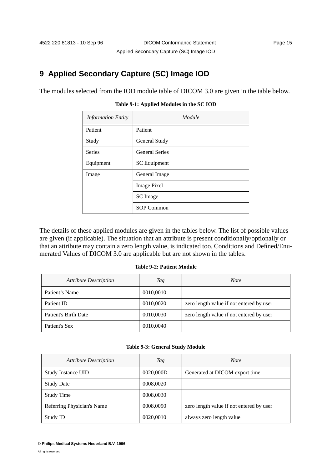# **9 Applied Secondary Capture (SC) Image IOD**

The modules selected from the IOD module table of DICOM 3.0 are given in the table below.

| <b>Information Entity</b> | Module                |
|---------------------------|-----------------------|
| Patient                   | Patient               |
| Study                     | General Study         |
| <b>Series</b>             | <b>General Series</b> |
| Equipment                 | <b>SC</b> Equipment   |
| Image                     | General Image         |
|                           | <b>Image Pixel</b>    |
|                           | SC Image              |
|                           | <b>SOP Common</b>     |

**Table 9-1: Applied Modules in the SC IOD**

The details of these applied modules are given in the tables below. The list of possible values are given (if applicable). The situation that an attribute is present conditionally/optionally or that an attribute may contain a zero length value, is indicated too. Conditions and Defined/Enumerated Values of DICOM 3.0 are applicable but are not shown in the tables.

#### **Table 9-2: Patient Module**

| <b>Attribute Description</b> | Tag       | <b>Note</b>                              |
|------------------------------|-----------|------------------------------------------|
| Patient's Name               | 0010,0010 |                                          |
| Patient ID                   | 0010,0020 | zero length value if not entered by user |
| Patient's Birth Date         | 0010,0030 | zero length value if not entered by user |
| Patient's Sex                | 0010,0040 |                                          |

#### **Table 9-3: General Study Module**

| <b>Attribute Description</b> | Tag       | <b>Note</b>                              |
|------------------------------|-----------|------------------------------------------|
| <b>Study Instance UID</b>    | 0020,000D | Generated at DICOM export time           |
| <b>Study Date</b>            | 0008,0020 |                                          |
| <b>Study Time</b>            | 0008,0030 |                                          |
| Referring Physician's Name   | 0008,0090 | zero length value if not entered by user |
| Study ID                     | 0020,0010 | always zero length value                 |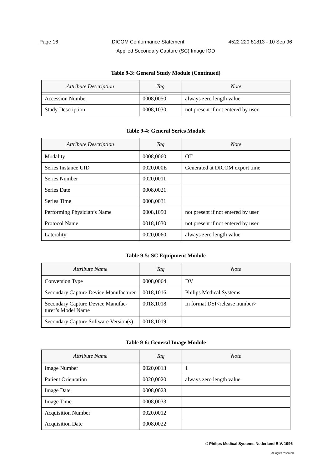# Page 16 **DICOM Conformance Statement** 4522 220 81813 - 10 Sep 96 Applied Secondary Capture (SC) Image IOD

#### **Table 9-3: General Study Module (Continued)**

| <b>Attribute Description</b> | Tag       | <b>Note</b>                        |
|------------------------------|-----------|------------------------------------|
| <b>Accession Number</b>      | 0008,0050 | always zero length value           |
| <b>Study Description</b>     | 0008,1030 | not present if not entered by user |

#### **Table 9-4: General Series Module**

| <b>Attribute Description</b> | Tag       | <b>Note</b>                        |
|------------------------------|-----------|------------------------------------|
| Modality                     | 0008,0060 | <b>OT</b>                          |
| Series Instance UID          | 0020,000E | Generated at DICOM export time     |
| Series Number                | 0020,0011 |                                    |
| Series Date                  | 0008,0021 |                                    |
| Series Time                  | 0008,0031 |                                    |
| Performing Physician's Name  | 0008,1050 | not present if not entered by user |
| Protocol Name                | 0018.1030 | not present if not entered by user |
| Laterality                   | 0020,0060 | always zero length value           |

#### **Table 9-5: SC Equipment Module**

| Attribute Name                                          | Tag       | <b>Note</b>                                 |
|---------------------------------------------------------|-----------|---------------------------------------------|
| Conversion Type                                         | 0008,0064 | DV                                          |
| Secondary Capture Device Manufacturer                   | 0018,1016 | Philips Medical Systems                     |
| Secondary Capture Device Manufac-<br>turer's Model Name | 0018,1018 | In format DSI <release number=""></release> |
| Secondary Capture Software Version(s)                   | 0018,1019 |                                             |

#### **Table 9-6: General Image Module**

| Attribute Name             | <b>Tag</b> | <b>Note</b>              |
|----------------------------|------------|--------------------------|
| <b>Image Number</b>        | 0020,0013  |                          |
| <b>Patient Orientation</b> | 0020,0020  | always zero length value |
| <b>Image Date</b>          | 0008,0023  |                          |
| Image Time                 | 0008,0033  |                          |
| <b>Acquisition Number</b>  | 0020,0012  |                          |
| <b>Acquisition Date</b>    | 0008,0022  |                          |